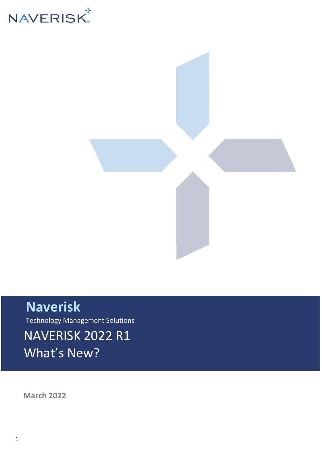



### **Naverisk**

Technology Management Solutions

NAVERISK 2022 R1 What's New?

**March 2022**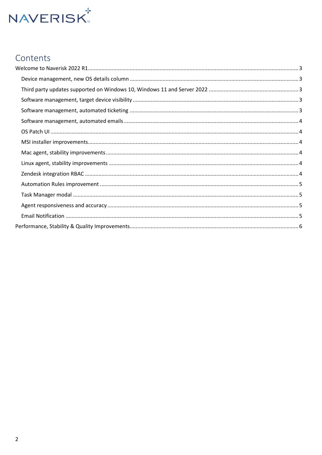# **NAVERISK**

#### Contents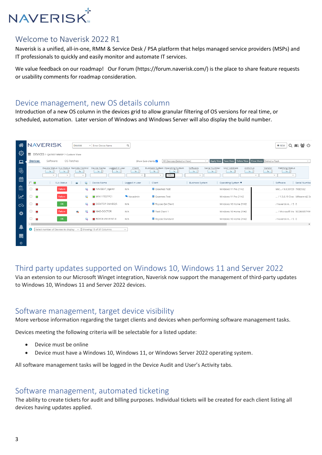## **NAVERISK**

#### <span id="page-2-0"></span>Welcome to Naverisk 2022 R1

Naverisk is a unified, all-in-one, RMM & Service Desk / PSA platform that helps managed service providers (MSPs) and IT professionals to quickly and easily monitor and automate IT services.

We value feedback on our roadmap! Our Forum (https://forum.naverisk.com/) is the place to share feature requests or usability comments for roadmap consideration.

#### <span id="page-2-1"></span>Device management, new OS details column

Introduction of a new OS column in the devices grid to allow granular filtering of OS versions for real time, or scheduled, automation. Later version of Windows and Windows Server will also display the build number.

| א∕                      |                      | <b>NAVERISK</b>                                                                                  | Devices            | $\vee$ Enter Device Name           | $\alpha$                      |                                                                              |                                                                        |                                                                      | Q 图 誉 也<br>$+$ NEW                                                               |
|-------------------------|----------------------|--------------------------------------------------------------------------------------------------|--------------------|------------------------------------|-------------------------------|------------------------------------------------------------------------------|------------------------------------------------------------------------|----------------------------------------------------------------------|----------------------------------------------------------------------------------|
| Ø                       | $\equiv$             | DEVICES > QATEST MMSP > Custom View                                                              |                    |                                    |                               |                                                                              |                                                                        |                                                                      |                                                                                  |
| $\Box$                  | <b>Devices</b>       | Software                                                                                         | OS Patches         |                                    | Show Sub-clients              | All Devices (Select a View)                                                  | $\checkmark$                                                           | Apply View Save View Delete View Close Views Select a Task           | $\checkmark$                                                                     |
| 愚                       |                      | Device Status SLA Status Remote Control Device Name<br> s <br> s <br>$\checkmark$<br>$\check{~}$ | s <br>$\checkmark$ | Logged in user<br> s <br>$\vert$ s | Client<br> 5 <br>$\checkmark$ | Business System Operating System<br> 5 <br> s <br>21h <sub>2</sub><br>$\sim$ | Software<br>Serial Number<br>$\vert$ is $\vert$<br> s <br>$\checkmark$ | MAC Address<br>AntiVirus<br>$\vert$ s $\vert$<br> s <br>$\checkmark$ | Patching Status<br>Vendor<br> s <br>$\vert$ s   <br>$\checkmark$<br>$\checkmark$ |
| 曲                       | $\Box$               | SLA Status                                                                                       |                    | Device Name                        | Logged in user                | Client                                                                       | <b>Business System</b>                                                 | Operating System $\Psi$                                              | Software<br>Serial Number                                                        |
| 皀                       | $\Box$<br>×          | Failure                                                                                          |                    | NAVDEV7_Agent1                     | N/A                           | Graemes Test                                                                 |                                                                        | Windows 11 Pro 21H2                                                  | Mic / 9.0.30729 7XBDS62                                                          |
| $\overline{\mathbf{z}}$ | o.<br>$\blacksquare$ | Failure                                                                                          | <b>Contract</b>    | WIN11TESTPC1                       | Navadmin                      | Graemes Test                                                                 |                                                                        | Windows 11 Pro 21H2                                                  | / 1.5.6.19 Orac VMware-42 34                                                     |
| $\infty$                | $\Box$<br>×          | OK                                                                                               |                    | DESKTOP-3MHD2J5                    | N/A                           | Royces QA Client                                                             |                                                                        | Windows 10 Home 21H2                                                 | / Naverisk A / S 0                                                               |
| $\bullet$               | $\Box$<br>×          | Failure                                                                                          | ÷                  | MAD-DOCTOR                         | N/A                           | Test Client 1                                                                |                                                                        | Windows 10 Home 21H2                                                 | / Microsoft Visi 5CD80957YW                                                      |
|                         | $\Box$<br>×          | OK                                                                                               | L.                 | ROYCE-VM-WIN7-3                    | N/A                           | Royces Standard                                                              |                                                                        | Windows 10 Home 21H2                                                 | / Naverisk A / S 0                                                               |
| -4                      | $\bullet$            | Select number of Devices to display                                                              | $\checkmark$       | Showing 15 of 37 Columns           | $\checkmark$                  |                                                                              |                                                                        |                                                                      | $\blacktriangleright$                                                            |
| U                       |                      |                                                                                                  |                    |                                    |                               |                                                                              |                                                                        |                                                                      |                                                                                  |
| $\odot$                 |                      |                                                                                                  |                    |                                    |                               |                                                                              |                                                                        |                                                                      |                                                                                  |

#### <span id="page-2-2"></span>Third party updates supported on Windows 10, Windows 11 and Server 2022

Via an extension to our Microsoft Winget integration, Naverisk now support the management of third-party updates to Windows 10, Windows 11 and Server 2022 devices.

#### <span id="page-2-3"></span>Software management, target device visibility

More verbose information regarding the target clients and devices when performing software management tasks.

Devices meeting the following criteria will be selectable for a listed update:

- Device must be online
- Device must have a Windows 10, Windows 11, or Windows Server 2022 operating system.

All software management tasks will be logged in the Device Audit and User's Activity tabs.

#### <span id="page-2-4"></span>Software management, automated ticketing

The ability to create tickets for audit and billing purposes. Individual tickets will be created for each client listing all devices having updates applied.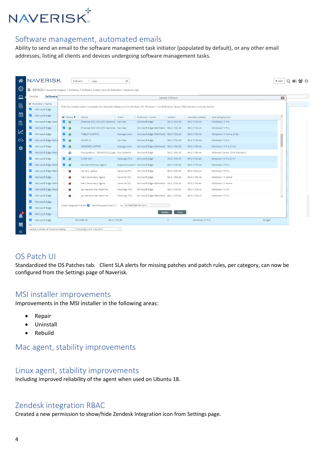

#### <span id="page-3-0"></span>Software management, automated emails

Ability to send an email to the software management task initiator (populated by default), or any other email addresses, listing all clients and devices undergoing software management tasks.

|                                                                                                                                                                                       | Software<br>Devices |                                                                           |                                                 |                               |                                      | Update Software         |                                  |                                    | $\mathbf{E}$             |  |  |
|---------------------------------------------------------------------------------------------------------------------------------------------------------------------------------------|---------------------|---------------------------------------------------------------------------|-------------------------------------------------|-------------------------------|--------------------------------------|-------------------------|----------------------------------|------------------------------------|--------------------------|--|--|
|                                                                                                                                                                                       |                     |                                                                           |                                                 |                               |                                      |                         |                                  |                                    |                          |  |  |
| <b>▽</b> Publisher / Name<br>Click the Update button to update the selected software on the Windows 10, Windows 11 and Windows Server 2022 devices currently Online<br>Microsoft Edge |                     |                                                                           |                                                 |                               |                                      |                         |                                  |                                    |                          |  |  |
| ø                                                                                                                                                                                     | Microsoft Edge      |                                                                           |                                                 |                               |                                      |                         |                                  |                                    |                          |  |  |
| ø                                                                                                                                                                                     | Microsoft Edge Web\ | $\nabla$ Status $\nabla$<br><b>V D</b>                                    | Device<br>Emanuel DEV VM (DEV Machine - Nav Dev | Client                        | Publisher / Name<br>Microsoft Edge   | Version<br>99.0.1150.39 | Available Update<br>99.0.1150.46 | Operating System<br>Windows 11 Pro | $\blacktriangle$         |  |  |
|                                                                                                                                                                                       | Microsoft Edge      | ø<br>$\overline{\phantom{a}}$                                             | Emanuel DEV VM (DEV Machine / Nav Dev           |                               | Microsoft Edge WebView2 99.0.1150.39 |                         | 99.0.1150.46                     | Windows 11 Pro                     |                          |  |  |
| ø                                                                                                                                                                                     | Microsoft Edge      | M<br>$\blacksquare$                                                       | TABLET-IIU6PP41                                 | Management                    | Microsoft Edge WebView2 99.0.1150.39 |                         | 99.0.1150.46                     | Windows 11 Home 21H2               |                          |  |  |
| ø                                                                                                                                                                                     | Microsoft Edge Web\ | $\overline{\mathbf{z}}$<br>$\overline{\phantom{a}}$                       | NAVPC12                                         | Nav Dev                       | Microsoft Edge                       | 99.0.1150.39            | 99.0.1150.46                     | Windows 10 Pro                     |                          |  |  |
| ø                                                                                                                                                                                     | Microsoft Edge      | <b>M</b><br>$\Box$                                                        | GRAEMES-LAPTOP                                  | Management                    | Microsoft Edge WebView2 99.0.1150.39 |                         | 99.0.1150.46                     | Windows 11 Pro 21H2                |                          |  |  |
| ø                                                                                                                                                                                     | Microsoft Edge Web\ | $\Box$<br>Q                                                               | You Systems - SERVER2012_Ager You Systems       |                               | Microsoft Edge                       | 99.0.1150.39            | 99.0.1150.46                     | Windows Server 2016 Standard       |                          |  |  |
| ø                                                                                                                                                                                     | Microsoft Edge      | ø<br>$\mathbf{G}$                                                         | FLOW-QA1                                        | Flowingly PCs                 | Microsoft Edge                       | 99.0.1150.39            | 99.0.1150.46                     | Windows 10 Pro 21H1                |                          |  |  |
| ø                                                                                                                                                                                     | Microsoft Edge Web\ | <b>2</b> D                                                                | Darryn's Primary Agent.                         | Support/Custom Microsoft Edge |                                      | 99.0.1150.39            | 99.0.1150.46                     | Windows 10 Pro                     |                          |  |  |
| ø                                                                                                                                                                                     | Microsoft Edge Web  | $\Box$<br>×                                                               | Herve's Laptop                                  | Naverisk PCs                  | Microsoft Edge                       | 95.0.1020.40            | 95.0.1020.44                     | Windows 10 Pro                     |                          |  |  |
| ø                                                                                                                                                                                     | Microsoft Edge      | $\Box$<br>÷                                                               | Pat's Secondary Agent                           | Naverisk PCs                  | Microsoft Edge                       | 99.0.1150.39            | 99.0.1150.46                     | Windows 11 Home                    |                          |  |  |
| ø                                                                                                                                                                                     | Microsoft Edge Web\ | $\Box$<br>×                                                               | Pat's Secondary Agent                           | Naverisk PCs                  | Microsoft Edge WebView2 99.0.1150.39 |                         | 99.0.1150.46                     | Windows 11 Home                    |                          |  |  |
| ø                                                                                                                                                                                     | Microsoft Edge Web\ | $\Box$<br>×                                                               | Jay Harland Dev Machine                         | Flowingly PCs                 | Microsoft Edge                       | 98.0.1108.50            | 98.0.1108.56                     | Windows 10 Pro                     |                          |  |  |
| ø                                                                                                                                                                                     | Microsoft Edge      | $\Box$<br>×                                                               | Jay Harland Dev Machine                         | Flowingly PCs                 | Microsoft Edge WebView2 98.0.1108.50 |                         | 98.0.1108.55                     | Windows 10 Pro                     | $\overline{\phantom{a}}$ |  |  |
| M                                                                                                                                                                                     | Microsoft Edge      |                                                                           |                                                 |                               |                                      |                         |                                  |                                    |                          |  |  |
| ø                                                                                                                                                                                     | Microsoft Edge      | To: jonkala@gmail.com;<br>Create Request Tickets: V Send Request Email: 0 |                                                 |                               |                                      |                         |                                  |                                    |                          |  |  |
| ø                                                                                                                                                                                     | Microsoft Edge      | Update<br>Close                                                           |                                                 |                               |                                      |                         |                                  |                                    |                          |  |  |
|                                                                                                                                                                                       | Microsoft Edge      |                                                                           | 94.0.992.50<br>99.0.1150.36                     |                               |                                      | $\overline{2}$          | Windows 10 Pro                   |                                    | Winget                   |  |  |

#### <span id="page-3-1"></span>OS Patch UI

Standardized the OS Patches tab. Client SLA alerts for missing patches and patch rules, per category, can now be configured from the Settings page of Naverisk.

#### <span id="page-3-2"></span>MSI installer improvements

Improvements in the MSI installer in the following areas:

- Repair
- Uninstall
- Rebuild

#### <span id="page-3-3"></span>Mac agent, stability improvements

#### <span id="page-3-4"></span>Linux agent, stability improvements

Including improved reliability of the agent when used on Ubuntu 18.

#### <span id="page-3-5"></span>Zendesk integration RBAC

Created a new permission to show/hide Zendesk Integration icon from Settings page.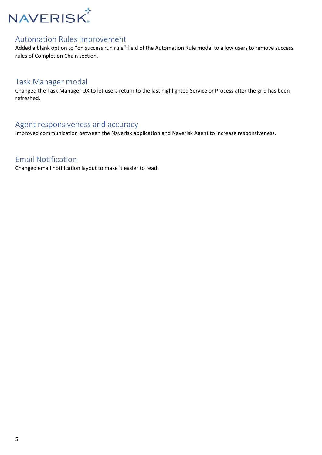

#### <span id="page-4-0"></span>Automation Rules improvement

Added a blank option to "on success run rule" field of the Automation Rule modal to allow users to remove success rules of Completion Chain section.

#### <span id="page-4-1"></span>Task Manager modal

Changed the Task Manager UX to let users return to the last highlighted Service or Process after the grid has been refreshed.

#### <span id="page-4-2"></span>Agent responsiveness and accuracy

Improved communication between the Naverisk application and Naverisk Agent to increase responsiveness.

#### <span id="page-4-3"></span>Email Notification

Changed email notification layout to make it easier to read.